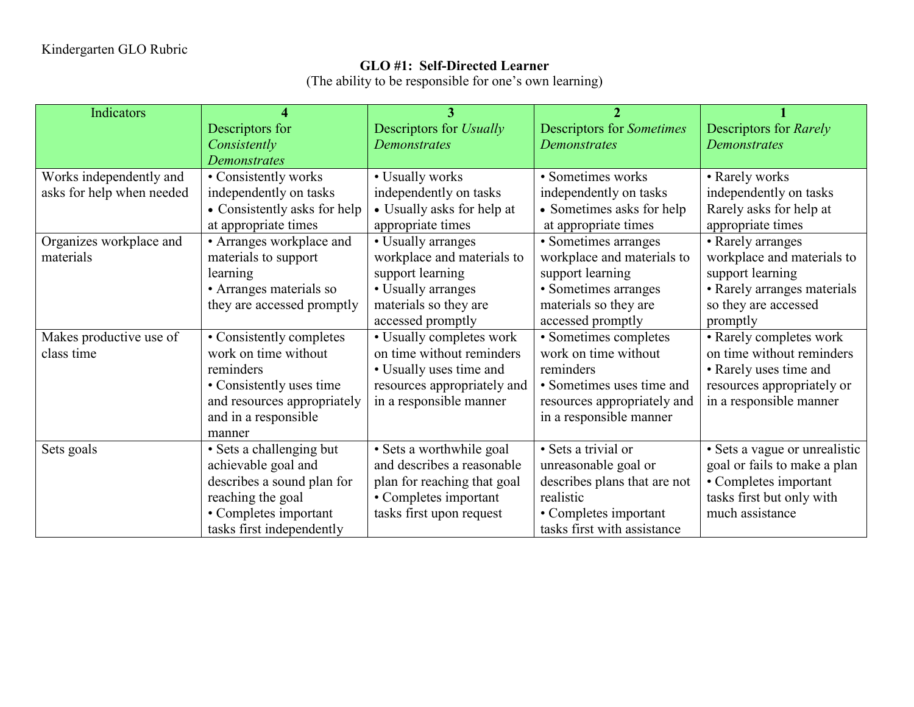## **GLO #1: Self-Directed Learner**

(The ability to be responsible for one's own learning)

| <b>Indicators</b>         | 4                            | 3                           | $\mathcal{P}$                    |                               |
|---------------------------|------------------------------|-----------------------------|----------------------------------|-------------------------------|
|                           | Descriptors for              | Descriptors for Usually     | <b>Descriptors for Sometimes</b> | Descriptors for Rarely        |
|                           | Consistently                 | <b>Demonstrates</b>         | <b>Demonstrates</b>              | <b>Demonstrates</b>           |
|                           | <b>Demonstrates</b>          |                             |                                  |                               |
| Works independently and   | • Consistently works         | • Usually works             | · Sometimes works                | • Rarely works                |
| asks for help when needed | independently on tasks       | independently on tasks      | independently on tasks           | independently on tasks        |
|                           | • Consistently asks for help | • Usually asks for help at  | • Sometimes asks for help        | Rarely asks for help at       |
|                           | at appropriate times         | appropriate times           | at appropriate times             | appropriate times             |
| Organizes workplace and   | • Arranges workplace and     | • Usually arranges          | • Sometimes arranges             | • Rarely arranges             |
| materials                 | materials to support         | workplace and materials to  | workplace and materials to       | workplace and materials to    |
|                           | learning                     | support learning            | support learning                 | support learning              |
|                           | • Arranges materials so      | • Usually arranges          | • Sometimes arranges             | • Rarely arranges materials   |
|                           | they are accessed promptly   | materials so they are       | materials so they are            | so they are accessed          |
|                           |                              | accessed promptly           | accessed promptly                | promptly                      |
| Makes productive use of   | • Consistently completes     | • Usually completes work    | • Sometimes completes            | • Rarely completes work       |
| class time                | work on time without         | on time without reminders   | work on time without             | on time without reminders     |
|                           | reminders                    | • Usually uses time and     | reminders                        | • Rarely uses time and        |
|                           | • Consistently uses time     | resources appropriately and | • Sometimes uses time and        | resources appropriately or    |
|                           | and resources appropriately  | in a responsible manner     | resources appropriately and      | in a responsible manner       |
|                           | and in a responsible         |                             | in a responsible manner          |                               |
|                           | manner                       |                             |                                  |                               |
| Sets goals                | · Sets a challenging but     | · Sets a worthwhile goal    | • Sets a trivial or              | · Sets a vague or unrealistic |
|                           | achievable goal and          | and describes a reasonable  | unreasonable goal or             | goal or fails to make a plan  |
|                           | describes a sound plan for   | plan for reaching that goal | describes plans that are not     | • Completes important         |
|                           | reaching the goal            | • Completes important       | realistic                        | tasks first but only with     |
|                           | • Completes important        | tasks first upon request    | • Completes important            | much assistance               |
|                           | tasks first independently    |                             | tasks first with assistance      |                               |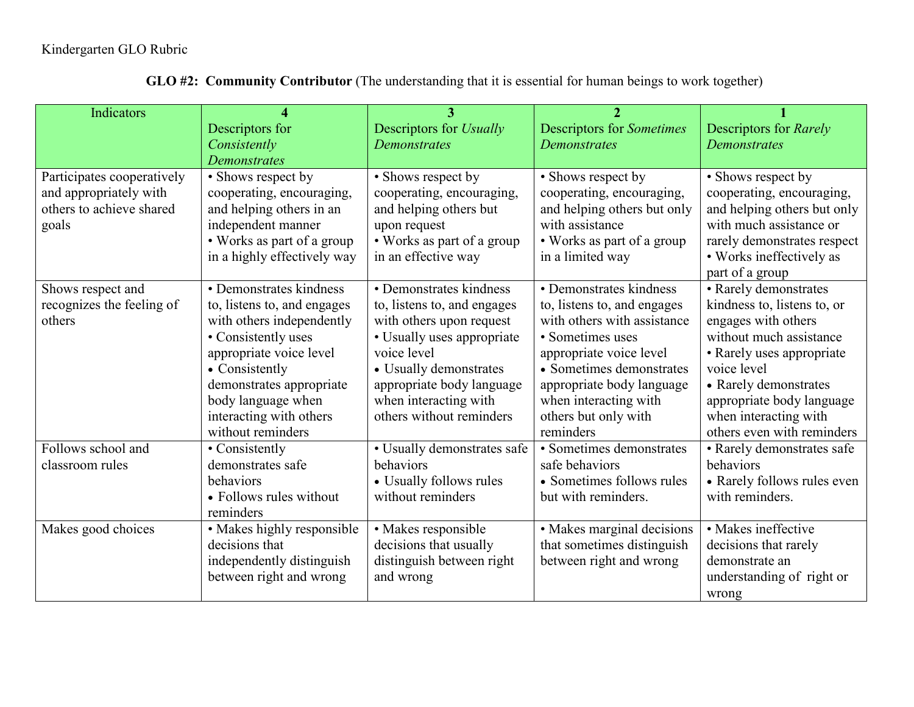| Indicators                 |                             | 3                           | $\mathfrak{D}$                   |                             |
|----------------------------|-----------------------------|-----------------------------|----------------------------------|-----------------------------|
|                            | Descriptors for             | Descriptors for Usually     | <b>Descriptors for Sometimes</b> | Descriptors for Rarely      |
|                            | Consistently                | <b>Demonstrates</b>         | <b>Demonstrates</b>              | <b>Demonstrates</b>         |
|                            | <b>Demonstrates</b>         |                             |                                  |                             |
| Participates cooperatively | • Shows respect by          | • Shows respect by          | • Shows respect by               | • Shows respect by          |
| and appropriately with     | cooperating, encouraging,   | cooperating, encouraging,   | cooperating, encouraging,        | cooperating, encouraging,   |
| others to achieve shared   | and helping others in an    | and helping others but      | and helping others but only      | and helping others but only |
| goals                      | independent manner          | upon request                | with assistance                  | with much assistance or     |
|                            | • Works as part of a group  | • Works as part of a group  | • Works as part of a group       | rarely demonstrates respect |
|                            | in a highly effectively way | in an effective way         | in a limited way                 | • Works ineffectively as    |
|                            |                             |                             |                                  | part of a group             |
| Shows respect and          | • Demonstrates kindness     | • Demonstrates kindness     | • Demonstrates kindness          | • Rarely demonstrates       |
| recognizes the feeling of  | to, listens to, and engages | to, listens to, and engages | to, listens to, and engages      | kindness to, listens to, or |
| others                     | with others independently   | with others upon request    | with others with assistance      | engages with others         |
|                            | • Consistently uses         | • Usually uses appropriate  | • Sometimes uses                 | without much assistance     |
|                            | appropriate voice level     | voice level                 | appropriate voice level          | • Rarely uses appropriate   |
|                            | • Consistently              | • Usually demonstrates      | • Sometimes demonstrates         | voice level                 |
|                            | demonstrates appropriate    | appropriate body language   | appropriate body language        | • Rarely demonstrates       |
|                            | body language when          | when interacting with       | when interacting with            | appropriate body language   |
|                            | interacting with others     | others without reminders    | others but only with             | when interacting with       |
|                            | without reminders           |                             | reminders                        | others even with reminders  |
| Follows school and         | • Consistently              | • Usually demonstrates safe | • Sometimes demonstrates         | • Rarely demonstrates safe  |
| classroom rules            | demonstrates safe           | behaviors                   | safe behaviors                   | behaviors                   |
|                            | behaviors                   | • Usually follows rules     | • Sometimes follows rules        | • Rarely follows rules even |
|                            | • Follows rules without     | without reminders           | but with reminders.              | with reminders.             |
|                            | reminders                   |                             |                                  |                             |
| Makes good choices         | • Makes highly responsible  | · Makes responsible         | • Makes marginal decisions       | · Makes ineffective         |
|                            | decisions that              | decisions that usually      | that sometimes distinguish       | decisions that rarely       |
|                            | independently distinguish   | distinguish between right   | between right and wrong          | demonstrate an              |
|                            | between right and wrong     | and wrong                   |                                  | understanding of right or   |
|                            |                             |                             |                                  | wrong                       |

**GLO #2: Community Contributor** (The understanding that it is essential for human beings to work together)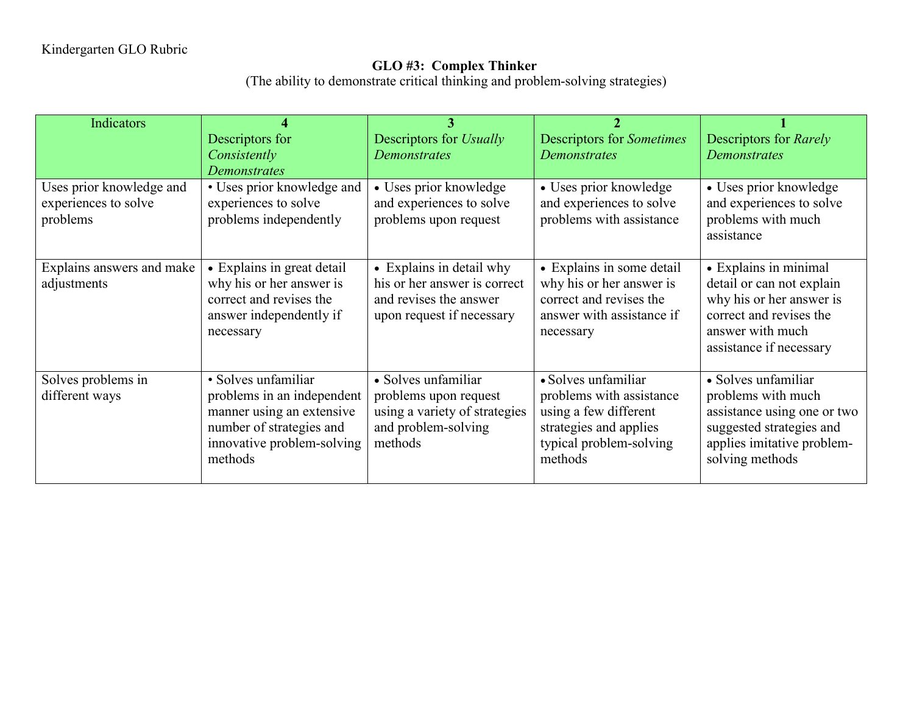## **GLO #3: Complex Thinker**

(The ability to demonstrate critical thinking and problem-solving strategies)

| <b>Indicators</b>                                |                                                    |                                                    |                                                      |                                                     |
|--------------------------------------------------|----------------------------------------------------|----------------------------------------------------|------------------------------------------------------|-----------------------------------------------------|
|                                                  | Descriptors for                                    | Descriptors for <i>Usually</i>                     | <b>Descriptors for Sometimes</b>                     | Descriptors for Rarely                              |
|                                                  | Consistently                                       | <b>Demonstrates</b>                                | <b>Demonstrates</b>                                  | Demonstrates                                        |
|                                                  | <b>Demonstrates</b>                                |                                                    |                                                      |                                                     |
| Uses prior knowledge and<br>experiences to solve | • Uses prior knowledge and<br>experiences to solve | • Uses prior knowledge<br>and experiences to solve | • Uses prior knowledge<br>and experiences to solve   | • Uses prior knowledge<br>and experiences to solve  |
| problems                                         | problems independently                             | problems upon request                              | problems with assistance                             | problems with much                                  |
|                                                  |                                                    |                                                    |                                                      | assistance                                          |
|                                                  |                                                    |                                                    |                                                      |                                                     |
| Explains answers and make                        | • Explains in great detail                         | • Explains in detail why                           | • Explains in some detail                            | • Explains in minimal                               |
| adjustments                                      | why his or her answer is                           | his or her answer is correct                       | why his or her answer is                             | detail or can not explain                           |
|                                                  | correct and revises the                            | and revises the answer                             | correct and revises the<br>answer with assistance if | why his or her answer is<br>correct and revises the |
|                                                  | answer independently if<br>necessary               | upon request if necessary                          | necessary                                            | answer with much                                    |
|                                                  |                                                    |                                                    |                                                      | assistance if necessary                             |
|                                                  |                                                    |                                                    |                                                      |                                                     |
| Solves problems in                               | • Solves unfamiliar                                | • Solves unfamiliar                                | • Solves unfamiliar                                  | • Solves unfamiliar                                 |
| different ways                                   | problems in an independent                         | problems upon request                              | problems with assistance                             | problems with much                                  |
|                                                  | manner using an extensive                          | using a variety of strategies                      | using a few different                                | assistance using one or two                         |
|                                                  | number of strategies and                           | and problem-solving                                | strategies and applies                               | suggested strategies and                            |
|                                                  | innovative problem-solving<br>methods              | methods                                            | typical problem-solving<br>methods                   | applies imitative problem-<br>solving methods       |
|                                                  |                                                    |                                                    |                                                      |                                                     |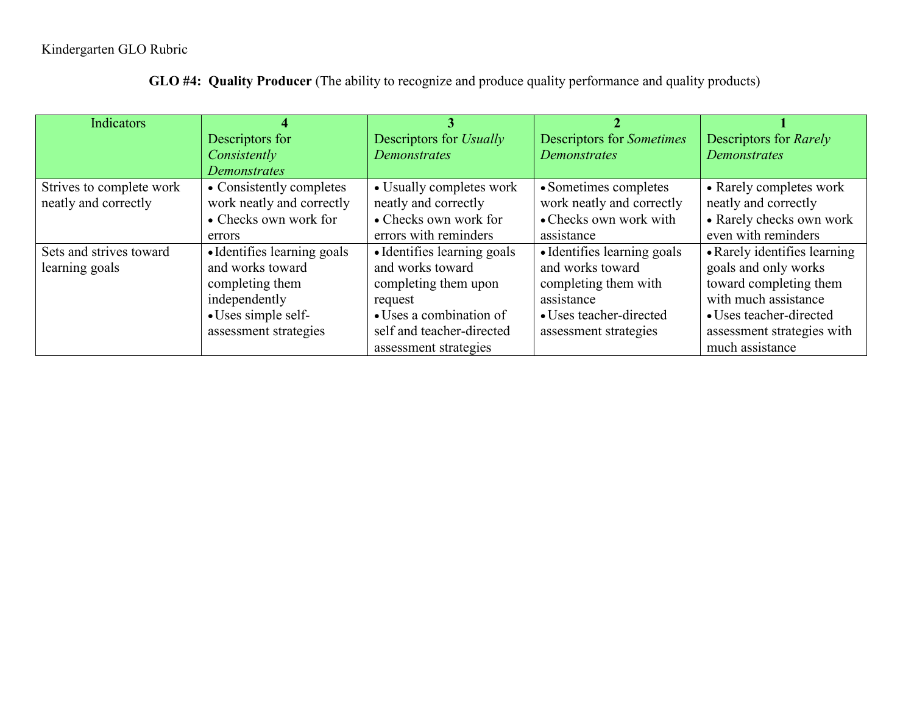## Kindergarten GLO Rubric

| Indicators               |                             |                             |                                  |                              |
|--------------------------|-----------------------------|-----------------------------|----------------------------------|------------------------------|
|                          | Descriptors for             | Descriptors for Usually     | <b>Descriptors for Sometimes</b> | Descriptors for Rarely       |
|                          | Consistently                | <b>Demonstrates</b>         | <b>Demonstrates</b>              | <b>Demonstrates</b>          |
|                          | <b>Demonstrates</b>         |                             |                                  |                              |
| Strives to complete work | • Consistently completes    | • Usually completes work    | • Sometimes completes            | • Rarely completes work      |
| neatly and correctly     | work neatly and correctly   | neatly and correctly        | work neatly and correctly        | neatly and correctly         |
|                          | • Checks own work for       | • Checks own work for       | • Checks own work with           | • Rarely checks own work     |
|                          | errors                      | errors with reminders       | assistance                       | even with reminders          |
| Sets and strives toward  | • Identifies learning goals | • Identifies learning goals | • Identifies learning goals      | • Rarely identifies learning |
| learning goals           | and works toward            | and works toward            | and works toward                 | goals and only works         |
|                          | completing them             | completing them upon        | completing them with             | toward completing them       |
|                          | independently               | request                     | assistance                       | with much assistance         |
|                          | • Uses simple self-         | • Uses a combination of     | • Uses teacher-directed          | • Uses teacher-directed      |
|                          | assessment strategies       | self and teacher-directed   | assessment strategies            | assessment strategies with   |
|                          |                             | assessment strategies       |                                  | much assistance              |

**GLO #4: Quality Producer** (The ability to recognize and produce quality performance and quality products)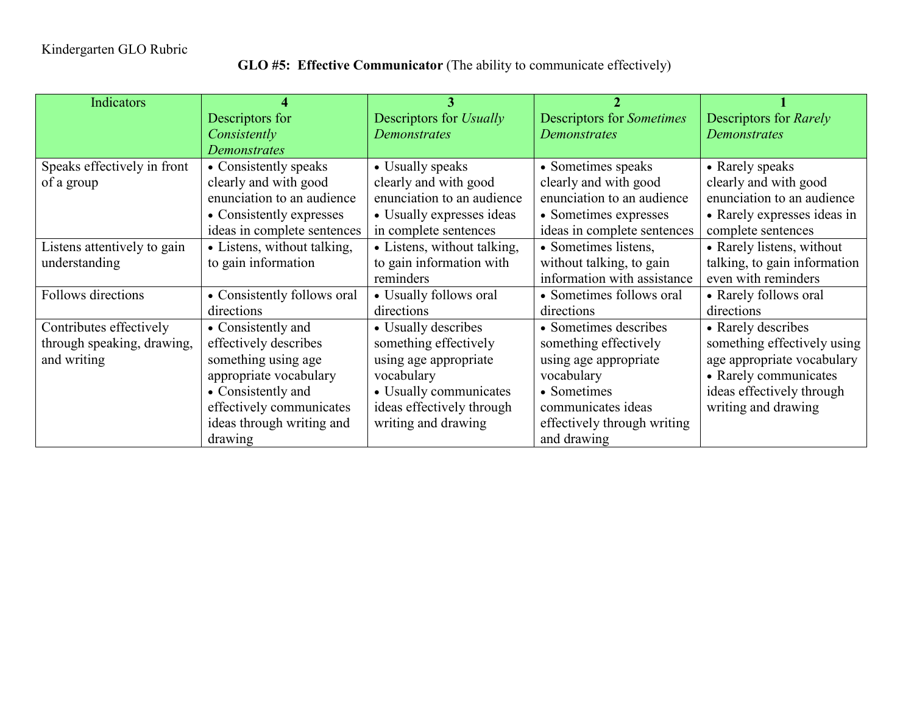## **GLO #5: Effective Communicator** (The ability to communicate effectively)

| Indicators                  |                             |                             |                                  |                              |
|-----------------------------|-----------------------------|-----------------------------|----------------------------------|------------------------------|
|                             | Descriptors for             | Descriptors for Usually     | <b>Descriptors for Sometimes</b> | Descriptors for Rarely       |
|                             | Consistently                | <b>Demonstrates</b>         | <b>Demonstrates</b>              | Demonstrates                 |
|                             | <b>Demonstrates</b>         |                             |                                  |                              |
| Speaks effectively in front | • Consistently speaks       | • Usually speaks            | • Sometimes speaks               | • Rarely speaks              |
| of a group                  | clearly and with good       | clearly and with good       | clearly and with good            | clearly and with good        |
|                             | enunciation to an audience  | enunciation to an audience  | enunciation to an audience       | enunciation to an audience   |
|                             | • Consistently expresses    | • Usually expresses ideas   | • Sometimes expresses            | • Rarely expresses ideas in  |
|                             | ideas in complete sentences | in complete sentences       | ideas in complete sentences      | complete sentences           |
| Listens attentively to gain | • Listens, without talking, | • Listens, without talking, | • Sometimes listens,             | • Rarely listens, without    |
| understanding               | to gain information         | to gain information with    | without talking, to gain         | talking, to gain information |
|                             |                             | reminders                   | information with assistance      | even with reminders          |
| Follows directions          | • Consistently follows oral | • Usually follows oral      | • Sometimes follows oral         | • Rarely follows oral        |
|                             | directions                  | directions                  | directions                       | directions                   |
| Contributes effectively     | • Consistently and          | • Usually describes         | • Sometimes describes            | • Rarely describes           |
| through speaking, drawing,  | effectively describes       | something effectively       | something effectively            | something effectively using  |
| and writing                 | something using age         | using age appropriate       | using age appropriate            | age appropriate vocabulary   |
|                             | appropriate vocabulary      | vocabulary                  | vocabulary                       | • Rarely communicates        |
|                             | • Consistently and          | • Usually communicates      | • Sometimes                      | ideas effectively through    |
|                             | effectively communicates    | ideas effectively through   | communicates ideas               | writing and drawing          |
|                             | ideas through writing and   | writing and drawing         | effectively through writing      |                              |
|                             | drawing                     |                             | and drawing                      |                              |